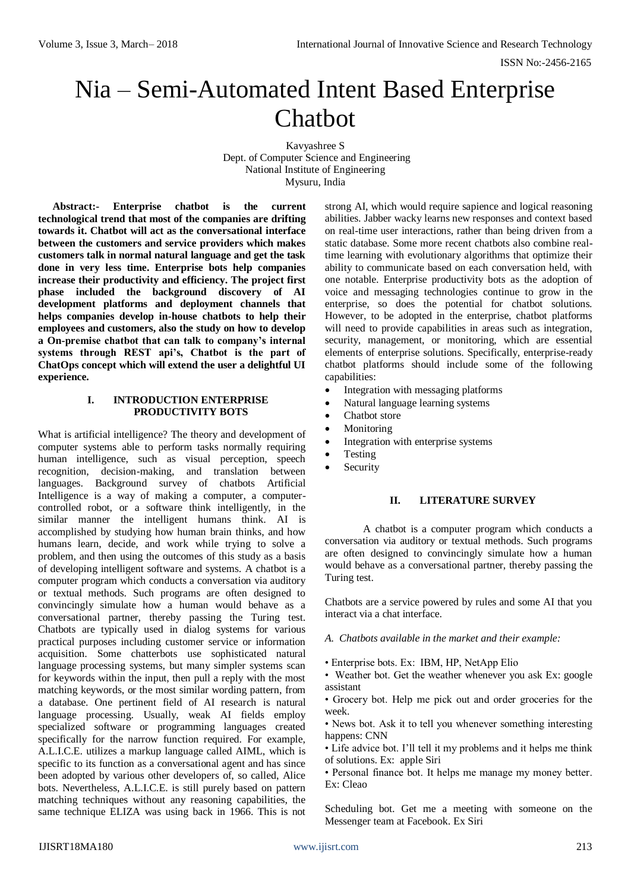# Nia – Semi-Automated Intent Based Enterprise Chatbot

Kavyashree S Dept. of Computer Science and Engineering National Institute of Engineering Mysuru, India

**Abstract:- Enterprise chatbot is the current technological trend that most of the companies are drifting towards it. Chatbot will act as the conversational interface between the customers and service providers which makes customers talk in normal natural language and get the task done in very less time. Enterprise bots help companies increase their productivity and efficiency. The project first phase included the background discovery of AI development platforms and deployment channels that helps companies develop in-house chatbots to help their employees and customers, also the study on how to develop a On-premise chatbot that can talk to company's internal systems through REST api's, Chatbot is the part of ChatOps concept which will extend the user a delightful UI experience.**

### **I. INTRODUCTION ENTERPRISE PRODUCTIVITY BOTS**

What is artificial intelligence? The theory and development of computer systems able to perform tasks normally requiring human intelligence, such as visual perception, speech recognition, decision-making, and translation between languages. Background survey of chatbots Artificial Intelligence is a way of making a computer, a computercontrolled robot, or a software think intelligently, in the similar manner the intelligent humans think. AI is accomplished by studying how human brain thinks, and how humans learn, decide, and work while trying to solve a problem, and then using the outcomes of this study as a basis of developing intelligent software and systems. A chatbot is a computer program which conducts a conversation via auditory or textual methods. Such programs are often designed to convincingly simulate how a human would behave as a conversational partner, thereby passing the Turing test. Chatbots are typically used in dialog systems for various practical purposes including customer service or information acquisition. Some chatterbots use sophisticated natural language processing systems, but many simpler systems scan for keywords within the input, then pull a reply with the most matching keywords, or the most similar wording pattern, from a database. One pertinent field of AI research is natural language processing. Usually, weak AI fields employ specialized software or programming languages created specifically for the narrow function required. For example, A.L.I.C.E. utilizes a markup language called AIML, which is specific to its function as a conversational agent and has since been adopted by various other developers of, so called, Alice bots. Nevertheless, A.L.I.C.E. is still purely based on pattern matching techniques without any reasoning capabilities, the same technique ELIZA was using back in 1966. This is not

strong AI, which would require sapience and logical reasoning abilities. Jabber wacky learns new responses and context based on real-time user interactions, rather than being driven from a static database. Some more recent chatbots also combine realtime learning with evolutionary algorithms that optimize their ability to communicate based on each conversation held, with one notable. Enterprise productivity bots as the adoption of voice and messaging technologies continue to grow in the enterprise, so does the potential for chatbot solutions. However, to be adopted in the enterprise, chatbot platforms will need to provide capabilities in areas such as integration, security, management, or monitoring, which are essential elements of enterprise solutions. Specifically, enterprise-ready chatbot platforms should include some of the following capabilities:

- Integration with messaging platforms
- Natural language learning systems
- Chatbot store
- Monitoring
- Integration with enterprise systems
- Testing
- Security

# **II. LITERATURE SURVEY**

A chatbot is a computer program which conducts a conversation via auditory or textual methods. Such programs are often designed to convincingly simulate how a human would behave as a conversational partner, thereby passing the Turing test.

Chatbots are a service powered by rules and some AI that you interact via a chat interface.

- *A. Chatbots available in the market and their example:*
- Enterprise bots. Ex: IBM, HP, NetApp Elio
- Weather bot. Get the weather whenever you ask Ex: google assistant
- Grocery bot. Help me pick out and order groceries for the week.
- News bot. Ask it to tell you whenever something interesting happens: CNN
- Life advice bot. I'll tell it my problems and it helps me think of solutions. Ex: apple Siri
- Personal finance bot. It helps me manage my money better. Ex: Cleao

Scheduling bot. Get me a meeting with someone on the Messenger team at Facebook. Ex Siri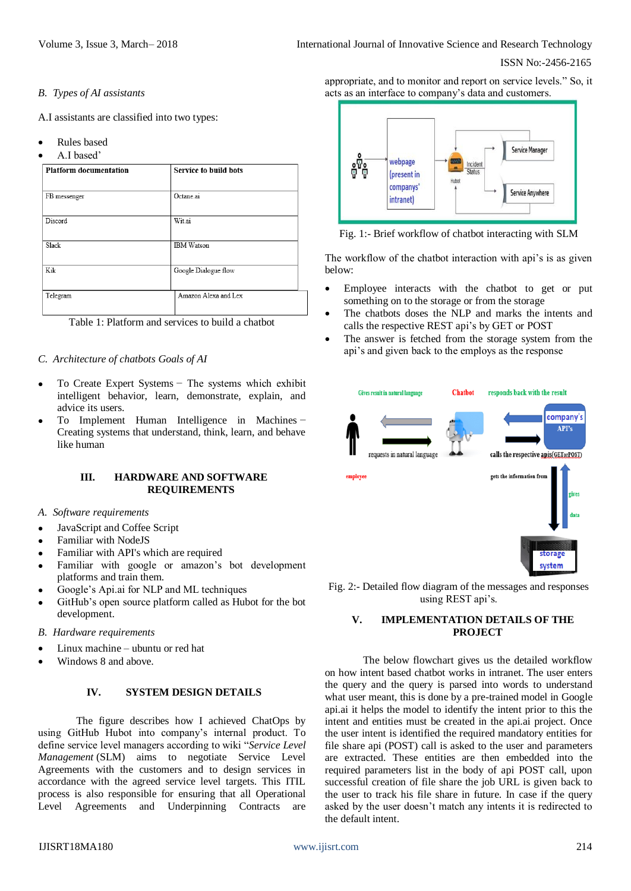#### ISSN No:-2456-2165

## *B. Types of AI assistants*

A.I assistants are classified into two types:

- Rules based
- A.I based'

| <b>Platform documentation</b> | <b>Service to build bots</b> |  |  |
|-------------------------------|------------------------------|--|--|
| FB messenger                  | Octane.ai                    |  |  |
| Discord                       | Wit.ai                       |  |  |
| Slack                         | <b>IBM</b> Watson            |  |  |
| Kik                           | Google Dialogue flow         |  |  |
| Telegram                      | Amazon Alexa and Lex         |  |  |

Table 1: Platform and services to build a chatbot

# *C. Architecture of chatbots Goals of AI*

- To Create Expert Systems − The systems which exhibit intelligent behavior, learn, demonstrate, explain, and advice its users.
- To Implement Human Intelligence in Machines − Creating systems that understand, think, learn, and behave like human

# **III. HARDWARE AND SOFTWARE REQUIREMENTS**

- *A. Software requirements*
- JavaScript and Coffee Script
- Familiar with NodeJS
- Familiar with API's which are required
- Familiar with google or amazon's bot development platforms and train them.
- Google's Api.ai for NLP and ML techniques
- GitHub's open source platform called as Hubot for the bot development.
- *B. Hardware requirements*
- Linux machine ubuntu or red hat
- Windows 8 and above.

# **IV. SYSTEM DESIGN DETAILS**

The figure describes how I achieved ChatOps by using GitHub Hubot into company's internal product. To define service level managers according to wiki "*Service Level Management* (SLM) aims to negotiate Service Level Agreements with the customers and to design services in accordance with the agreed service level targets. This ITIL process is also responsible for ensuring that all Operational Level Agreements and Underpinning Contracts are

appropriate, and to monitor and report on service levels." So, it acts as an interface to company's data and customers.



Fig. 1:- Brief workflow of chatbot interacting with SLM

The workflow of the chatbot interaction with api's is as given below:

- Employee interacts with the chatbot to get or put something on to the storage or from the storage
- The chatbots doses the NLP and marks the intents and calls the respective REST api's by GET or POST
- The answer is fetched from the storage system from the api's and given back to the employs as the response

| Gives result in natural language | <b>Chatbot</b> | responds back with the result                                     |
|----------------------------------|----------------|-------------------------------------------------------------------|
| requests in natural language     |                | company's<br><b>APP's</b><br>calls the respective apis(GETorPOST) |
| employee                         |                | gets the information from<br>gives<br>data                        |
|                                  |                | storage<br>system                                                 |

Fig. 2:- Detailed flow diagram of the messages and responses using REST api's.

# **V. IMPLEMENTATION DETAILS OF THE PROJECT**

The below flowchart gives us the detailed workflow on how intent based chatbot works in intranet. The user enters the query and the query is parsed into words to understand what user meant, this is done by a pre-trained model in Google api.ai it helps the model to identify the intent prior to this the intent and entities must be created in the api.ai project. Once the user intent is identified the required mandatory entities for file share api (POST) call is asked to the user and parameters are extracted. These entities are then embedded into the required parameters list in the body of api POST call, upon successful creation of file share the job URL is given back to the user to track his file share in future. In case if the query asked by the user doesn't match any intents it is redirected to the default intent.